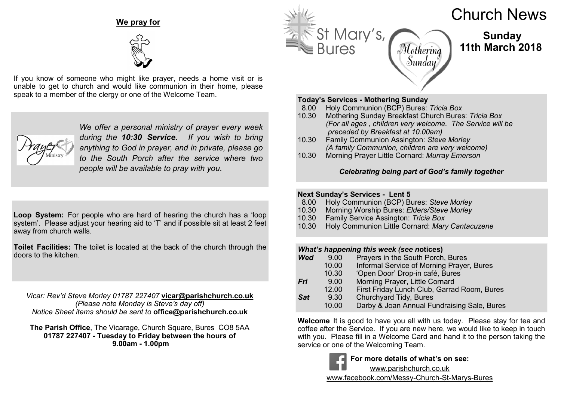# **We pray for**



If you know of someone who might like prayer, needs a home visit or is unable to get to church and would like communion in their home, please speak to a member of the clergy or one of the Welcome Team.



*We offer a personal ministry of prayer every week during the 10:30 Service. If you wish to bring anything to God in prayer, and in private, please go to the South Porch after the service where two people will be available to pray with you.*

**Loop System:** For people who are hard of hearing the church has a 'loop system'. Please adjust your hearing aid to 'T' and if possible sit at least 2 feet away from church walls.

**Toilet Facilities:** The toilet is located at the back of the church through the doors to the kitchen.

*Vicar: Rev'd Steve Morley 01787 227407* **vicar@parishchurch.co.uk** *(Please note Monday is Steve's day off) Notice Sheet items should be sent to* **office@parishchurch.co.uk**

**The Parish Office**, The Vicarage, Church Square, Bures CO8 5AA **01787 227407 - Tuesday to Friday between the hours of 9.00am - 1.00pm**



# Church News

 **Sunday 11th March 2018**

## **Today's Services - Mothering Sunday**

- 8.00 Holy Communion (BCP) Bures: *Tricia Box*
- 10.30 Mothering Sunday Breakfast Church Bures: *Tricia Box (For all ages , children very welcome. The Service will be preceded by Breakfast at 10.00am)*
- 10.30 Family Communion Assington: *Steve Morley (A family Communion, children are very welcome)*
- 10.30 Morning Prayer Little Cornard: *Murray Emerson*

# *Celebrating being part of God's family together*

# **Next Sunday's Services - Lent 5**

- 8.00 Holy Communion (BCP) Bures: *Steve Morley*
- 10.30 Morning Worship Bures: *Elders/Steve Morley*
- 10.30 Family Service Assington: *Tricia Box*
- 10.30 Holy Communion Little Cornard: *Mary Cantacuzene*

# *What's happening this week (see notices)*<br>*Wed* **9.00 Pravers in the South Porch**

- *Wed* 9.00 Prayers in the South Porch, Bures
	- 10.00 Informal Service of Morning Prayer, Bures
	- 10.30 'Open Door' Drop-in café, Bures
- *Fri* 9.00 Morning Prayer, Little Cornard
	- 12.00 First Friday Lunch Club, Garrad Room, Bures
- **Sat 9.30** Churchyard Tidy, Bures<br>10.00 Darby & Joan Annual Fu
	- Darby & Joan Annual Fundraising Sale, Bures

**Welcome** It is good to have you all with us today. Please stay for tea and coffee after the Service. If you are new here, we would like to keep in touch with you. Please fill in a Welcome Card and hand it to the person taking the service or one of the Welcoming Team.